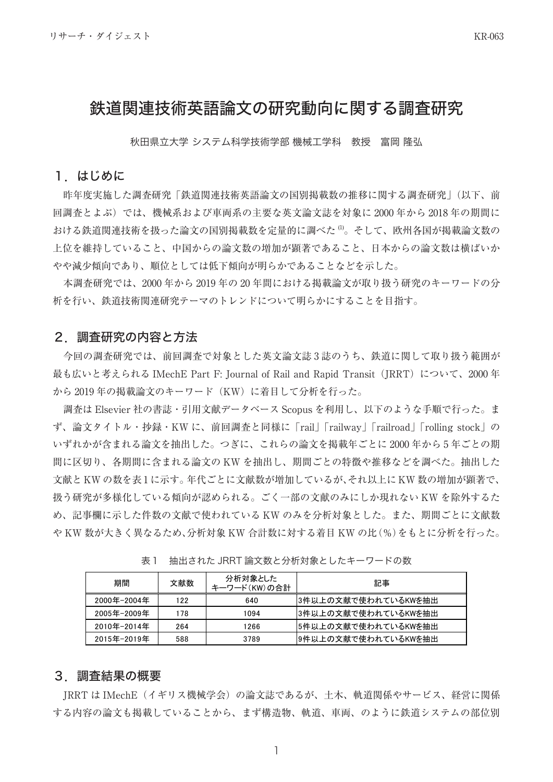# 鉄道関連技術英語論文の研究動向に関する調査研究

秋田県立大学 システム科学技術学部 機械工学科 教授 富岡 隆弘

## 1.はじめに

昨年度実施した調査研究「鉄道関連技術英語論文の国別掲載数の推移に関する調査研究」(以下、前 回調査とよぶ)では、機械系および車両系の主要な英文論文誌を対象に 2000 年から 2018 年の期間に おける鉄道関連技術を扱った論文の国別掲載数を定量的に調べた (1)。そして、欧州各国が掲載論文数の 上位を維持していること、中国からの論文数の増加が顕著であること、日本からの論文数は横ばいか やや減少傾向であり、順位としては低下傾向が明らかであることなどを示した。

本調査研究では、2000 年から 2019 年の 20 年間における掲載論文が取り扱う研究のキーワードの分 析を行い、鉄道技術関連研究テーマのトレンドについて明らかにすることを目指す。

## 2.調査研究の内容と方法

今回の調査研究では、前回調査で対象とした英文論文誌 3 誌のうち、鉄道に関して取り扱う範囲が 最も広いと考えられる IMechE Part F: Journal of Rail and Rapid Transit (JRRT) について、2000 年 から 2019 年の掲載論文のキーワード(KW)に着目して分析を行った。

調査は Elsevier 社の書誌・引用文献データベース Scopus を利用し、以下のような手順で行った。ま ず、論文タイトル・抄録・KW に、前回調査と同様に「rail」「railway」「railroad」「rolling stock」の いずれかが含まれる論文を抽出した。つぎに、これらの論文を掲載年ごとに 2000 年から 5 年ごとの期 間に区切り、各期間に含まれる論文の KW を抽出し、期間ごとの特徴や推移などを調べた。抽出した 文献と KW の数を表 1 に示す。年代ごとに文献数が増加しているが、それ以上に KW 数の増加が顕著で、 扱う研究が多様化している傾向が認められる。ごく一部の文献のみにしか現れない KW を除外するた め、記事欄に示した件数の文献で使われている KW のみを分析対象とした。また、期間ごとに文献数 や KW 数が大きく異なるため、分析対象 KW 合計数に対する着目 KW の比(%)をもとに分析を行った。

| 期間          | 文献数 | 分析対象とした<br>キーワード(KW)の合計 | 記事                  |
|-------------|-----|-------------------------|---------------------|
| 2000年-2004年 | 122 | 640                     | 3件以上の文献で使われているKWを抽出 |
| 2005年-2009年 | 178 | 1094                    | 3件以上の文献で使われているKWを抽出 |
| 2010年-2014年 | 264 | 1266                    | 5件以上の文献で使われているKWを抽出 |
| 2015年-2019年 | 588 | 3789                    | 9件以上の文献で使われているKWを抽出 |

表1 抽出された JRRT 論文数と分析対象としたキーワードの数

# 3.調査結果の概要

JRRT は IMechE(イギリス機械学会)の論文誌であるが、土木、軌道関係やサービス、経営に関係 する内容の論文も掲載していることから、まず構造物、軌道、車両、のように鉄道システムの部位別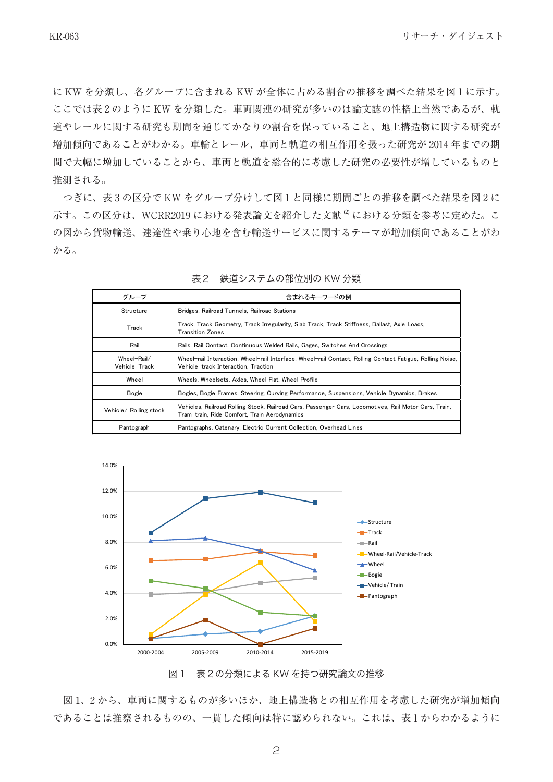に KW を分類し、各グループに含まれる KW が全体に占める割合の推移を調べた結果を図 1 に示す。 ここでは表 2 のように KW を分類した。車両関連の研究が多いのは論文誌の性格上当然であるが、軌 道やレールに関する研究も期間を通じてかなりの割合を保っていること、地上構造物に関する研究が 増加傾向であることがわかる。車輪とレール、車両と軌道の相互作用を扱った研究が 2014 年までの期 間で大幅に増加していることから、車両と軌道を総合的に考慮した研究の必要性が増しているものと 推測される。

つぎに、表 3 の区分で KW をグループ分けして図 1 と同様に期間ごとの推移を調べた結果を図 2 に 示す。この区分は、WCRR2019 における発表論文を紹介した文献<sup>2</sup> における分類を参考に定めた。こ の図から貨物輸送、速達性や乗り心地を含む輸送サービスに関するテーマが増加傾向であることがわ かる。

| グループ                         | 含まれるキーワードの例                                                                                                                                           |  |
|------------------------------|-------------------------------------------------------------------------------------------------------------------------------------------------------|--|
| Structure                    | Bridges, Railroad Tunnels, Railroad Stations                                                                                                          |  |
| Track                        | Track, Track Geometry, Track Irregularity, Slab Track, Track Stiffness, Ballast, Axle Loads,<br><b>Transition Zones</b>                               |  |
| Rail                         | Rails, Rail Contact, Continuous Welded Rails, Gages, Switches And Crossings                                                                           |  |
| Wheel-Rail/<br>Vehicle-Track | Wheel-rail Interaction, Wheel-rail Interface, Wheel-rail Contact, Rolling Contact Fatigue, Rolling Noise,<br>Vehicle-track Interaction, Traction      |  |
| Wheel                        | Wheels, Wheelsets, Axles, Wheel Flat, Wheel Profile                                                                                                   |  |
| Bogie                        | Bogies, Bogie Frames, Steering, Curving Performance, Suspensions, Vehicle Dynamics, Brakes                                                            |  |
| Vehicle/ Rolling stock       | Vehicles, Railroad Rolling Stock, Railroad Cars, Passenger Cars, Locomotives, Rail Motor Cars, Train,<br>Tram-train, Ride Comfort, Train Aerodynamics |  |
| Pantograph                   | Pantographs, Catenary, Electric Current Collection, Overhead Lines                                                                                    |  |

表2 鉄道システムの部位別の KW 分類



図1 表2の分類による KW を持つ研究論文の推移

図 1、2 から、車両に関するものが多いほか、地上構造物との相互作用を考慮した研究が増加傾向 であることは推察されるものの、一貫した傾向は特に認められない。これは、表 1 からわかるように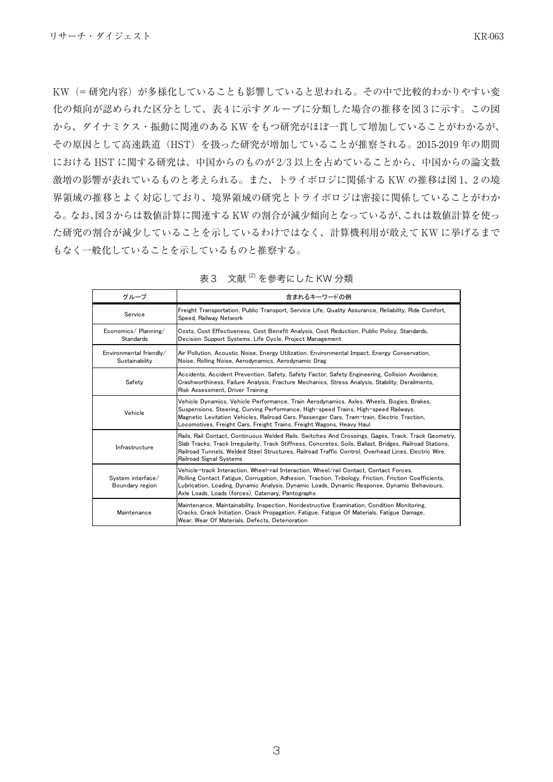KW(=研究内容)が多様化していることも影響していると思われる。その中で比較的わかりやすい変 化の傾向が認められた区分として、表 4 に示すグループに分類した場合の推移を図 3 に示す。この図 から、ダイナミクス・振動に関連のある KW をもつ研究がほぼ一貫して増加していることがわかるが、 その原因として高速鉄道(HST)を扱った研究が増加していることが推察される。2015-2019 年の期間 における HST に関する研究は、中国からのものが 2/3 以上を占めていることから、中国からの論文数 激増の影響が表れているものと考えられる。また、トライボロジに関係する KW の推移は図 1、 2 の境 界領域の推移とよく対応しており、境界領域の研究とトライボロジは密接に関係していることがわか る。なお、図 3 からは数値計算に関連する KW の割合が減少傾向となっているが、これは数値計算を使っ た研究の割合が減少していることを示しているわけではなく、計算機利用が敢えて KW に挙げるまで もなく一般化していることを示しているものと推察する。

| グループ                                      | 含まれるキーワードの例                                                                                                                                                                                                                                                                                                                                              |  |
|-------------------------------------------|----------------------------------------------------------------------------------------------------------------------------------------------------------------------------------------------------------------------------------------------------------------------------------------------------------------------------------------------------------|--|
| Service                                   | Freight Transportation, Public Transport, Service Life, Quality Assurance, Reliability, Ride Comfort,<br>Speed, Railway Network                                                                                                                                                                                                                          |  |
| Economics/Planning/<br>Standards          | Costs, Cost Effectiveness, Cost Benefit Analysis, Cost Reduction, Public Policy, Standards,<br>Decision Support Systems, Life Cycle, Project Management                                                                                                                                                                                                  |  |
| Environmental friendly/<br>Sustainability | Air Pollution, Acoustic Noise, Energy Utilization, Environmental Impact, Energy Conservation,<br>Noise, Rolling Noise, Aerodynamics, Aerodynamic Drag                                                                                                                                                                                                    |  |
| Safety                                    | Accidents, Accident Prevention, Safety, Safety Factor, Safety Engineering, Collision Avoidance,<br>Crashworthiness, Failure Analysis, Fracture Mechanics, Stress Analysis, Stability, Derailments,<br>Risk Assessment, Driver Training                                                                                                                   |  |
| Vehicle                                   | Vehicle Dynamics, Vehicle Performance, Train Aerodynamics, Axles, Wheels, Bogies, Brakes,<br>Suspensions, Steering, Curving Performance, High-speed Trains, High-speed Railways,<br>Magnetic Levitation Vehicles, Railroad Cars, Passenger Cars, Tram-train, Electric Traction,<br>Locomotives, Freight Cars, Freight Trains, Freight Wagons, Heavy Haul |  |
| Infrastructure                            | Rails, Rail Contact, Continuous Welded Rails, Switches And Crossings, Gages, Track, Track Geometry,<br>Slab Tracks, Track Irregularity, Track Stiffness, Concretes, Soils, Ballast, Bridges, Railroad Stations,<br>Railroad Tunnels, Welded Steel Structures, Railroad Traffic Control, Overhead Lines, Electric Wire,<br>Railroad Signal Systems        |  |
| System interface/<br>Boundary region      | Vehicle-track Interaction, Wheel-rail Interaction, Wheel/rail Contact, Contact Forces,<br>Rolling Contact Fatigue, Corrugation, Adhesion, Traction, Tribology, Friction, Friction Coefficients,<br>Lubrication, Loading, Dynamic Analysis, Dynamic Loads, Dynamic Response, Dynamic Behaviours,<br>Axle Loads, Loads (forces), Catenary, Pantographs     |  |
| Maintenance                               | Maintenance, Maintainability, Inspection, Nondestructive Examination, Condition Monitoring,<br>Cracks, Crack Initiation, Crack Propagation, Fatigue, Fatigue Of Materials, Fatigue Damage,<br>Wear, Wear Of Materials, Defects, Deterioration                                                                                                            |  |

| _ 文献 <sup>⑵</sup> を参考にした KW 分類<br>表3 |
|--------------------------------------|
|--------------------------------------|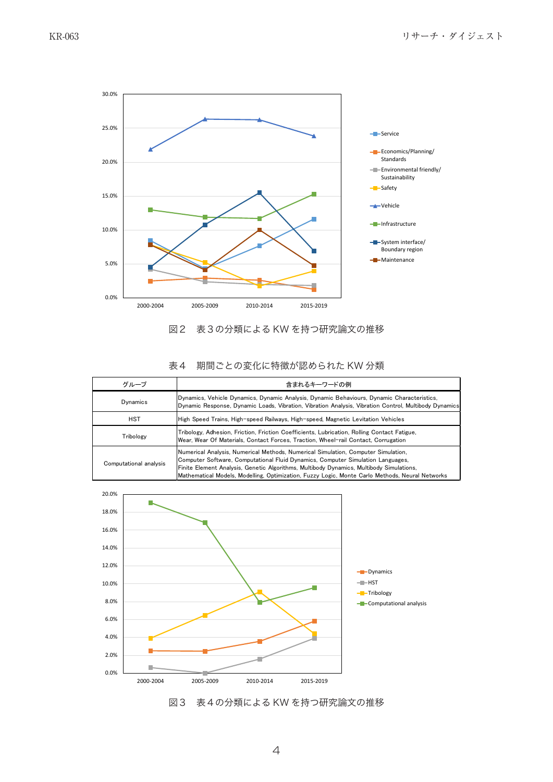

#### 図2 表3の分類による KW を持つ研究論文の推移

## 表4 期間ごとの変化に特徴が認められた KW 分類

| グループ                   | 含まれるキーワードの例                                                                                                                                                                                                                                                                                                                                                        |
|------------------------|--------------------------------------------------------------------------------------------------------------------------------------------------------------------------------------------------------------------------------------------------------------------------------------------------------------------------------------------------------------------|
| Dynamics               | Dynamics, Vehicle Dynamics, Dynamic Analysis, Dynamic Behaviours, Dynamic Characteristics,<br>Dynamic Response, Dynamic Loads, Vibration, Vibration Analysis, Vibration Control, Multibody Dynamics                                                                                                                                                                |
| <b>HST</b>             | High Speed Trains, High-speed Railways, High-speed, Magnetic Levitation Vehicles                                                                                                                                                                                                                                                                                   |
| Tribology              | Tribology, Adhesion, Friction, Friction Coefficients, Lubrication, Rolling Contact Fatigue,<br>Wear, Wear Of Materials, Contact Forces, Traction, Wheel-rail Contact, Corrugation                                                                                                                                                                                  |
| Computational analysis | Numerical Analysis. Numerical Methods. Numerical Simulation. Computer Simulation.<br>Computer Software, Computational Fluid Dynamics, Computer Simulation Languages,<br>Finite Element Analysis, Genetic Algorithms, Multibody Dynamics, Multibody Simulations,<br>Mathematical Models, Modelling, Optimization, Fuzzy Logic, Monte Carlo Methods, Neural Networks |



図3 表4の分類による KW を持つ研究論文の推移